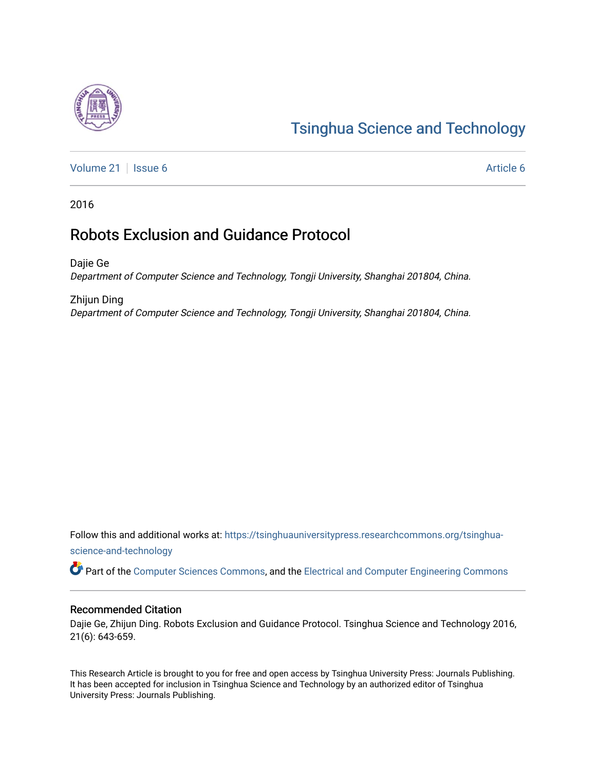# [Tsinghua Science and Technology](https://tsinghuauniversitypress.researchcommons.org/tsinghua-science-and-technology)

[Volume 21](https://tsinghuauniversitypress.researchcommons.org/tsinghua-science-and-technology/vol21) | [Issue 6](https://tsinghuauniversitypress.researchcommons.org/tsinghua-science-and-technology/vol21/iss6) Article 6

2016

# Robots Exclusion and Guidance Protocol

Dajie Ge Department of Computer Science and Technology, Tongji University, Shanghai 201804, China.

Zhijun Ding Department of Computer Science and Technology, Tongji University, Shanghai 201804, China.

Follow this and additional works at: [https://tsinghuauniversitypress.researchcommons.org/tsinghua](https://tsinghuauniversitypress.researchcommons.org/tsinghua-science-and-technology?utm_source=tsinghuauniversitypress.researchcommons.org%2Ftsinghua-science-and-technology%2Fvol21%2Fiss6%2F6&utm_medium=PDF&utm_campaign=PDFCoverPages)[science-and-technology](https://tsinghuauniversitypress.researchcommons.org/tsinghua-science-and-technology?utm_source=tsinghuauniversitypress.researchcommons.org%2Ftsinghua-science-and-technology%2Fvol21%2Fiss6%2F6&utm_medium=PDF&utm_campaign=PDFCoverPages)

Part of the [Computer Sciences Commons](http://network.bepress.com/hgg/discipline/142?utm_source=tsinghuauniversitypress.researchcommons.org%2Ftsinghua-science-and-technology%2Fvol21%2Fiss6%2F6&utm_medium=PDF&utm_campaign=PDFCoverPages), and the [Electrical and Computer Engineering Commons](http://network.bepress.com/hgg/discipline/266?utm_source=tsinghuauniversitypress.researchcommons.org%2Ftsinghua-science-and-technology%2Fvol21%2Fiss6%2F6&utm_medium=PDF&utm_campaign=PDFCoverPages)

# Recommended Citation

Dajie Ge, Zhijun Ding. Robots Exclusion and Guidance Protocol. Tsinghua Science and Technology 2016, 21(6): 643-659.

This Research Article is brought to you for free and open access by Tsinghua University Press: Journals Publishing. It has been accepted for inclusion in Tsinghua Science and Technology by an authorized editor of Tsinghua University Press: Journals Publishing.

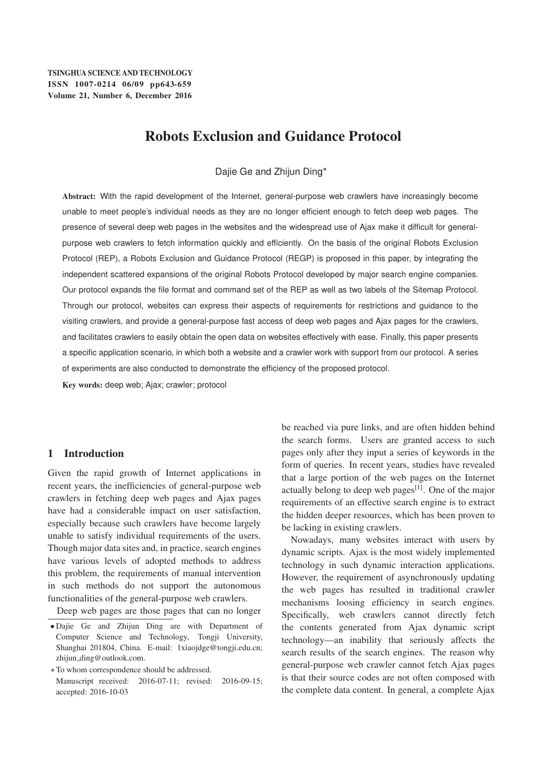# Robots Exclusion and Guidance Protocol

Dajie Ge and Zhijun Ding\*

Abstract: With the rapid development of the Internet, general-purpose web crawlers have increasingly become unable to meet people's individual needs as they are no longer efficient enough to fetch deep web pages. The presence of several deep web pages in the websites and the widespread use of Ajax make it difficult for generalpurpose web crawlers to fetch information quickly and efficiently. On the basis of the original Robots Exclusion Protocol (REP), a Robots Exclusion and Guidance Protocol (REGP) is proposed in this paper, by integrating the independent scattered expansions of the original Robots Protocol developed by major search engine companies. Our protocol expands the file format and command set of the REP as well as two labels of the Sitemap Protocol. Through our protocol, websites can express their aspects of requirements for restrictions and guidance to the visiting crawlers, and provide a general-purpose fast access of deep web pages and Ajax pages for the crawlers, and facilitates crawlers to easily obtain the open data on websites effectively with ease. Finally, this paper presents a specific application scenario, in which both a website and a crawler work with support from our protocol. A series of experiments are also conducted to demonstrate the efficiency of the proposed protocol.

Key words: deep web; Ajax; crawler; protocol

# 1 Introduction

Given the rapid growth of Internet applications in recent years, the inefficiencies of general-purpose web crawlers in fetching deep web pages and Ajax pages have had a considerable impact on user satisfaction, especially because such crawlers have become largely unable to satisfy individual requirements of the users. Though major data sites and, in practice, search engines have various levels of adopted methods to address this problem, the requirements of manual intervention in such methods do not support the autonomous functionalities of the general-purpose web crawlers.

Deep web pages are those pages that can no longer

- Dajie Ge and Zhijun Ding are with Department of Computer Science and Technology, Tongji University, Shanghai 201804, China. E-mail: 1xiaojdge@tongji.edu.cn; zhijun\_ding@outlook.com.

To whom correspondence should be addressed.

be reached via pure links, and are often hidden behind the search forms. Users are granted access to such pages only after they input a series of keywords in the form of queries. In recent years, studies have revealed that a large portion of the web pages on the Internet actually belong to deep web pages<sup>[1]</sup>. One of the major requirements of an effective search engine is to extract the hidden deeper resources, which has been proven to be lacking in existing crawlers.

Nowadays, many websites interact with users by dynamic scripts. Ajax is the most widely implemented technology in such dynamic interaction applications. However, the requirement of asynchronously updating the web pages has resulted in traditional crawler mechanisms loosing efficiency in search engines. Specifically, web crawlers cannot directly fetch the contents generated from Ajax dynamic script technology—an inability that seriously affects the search results of the search engines. The reason why general-purpose web crawler cannot fetch Ajax pages is that their source codes are not often composed with the complete data content. In general, a complete Ajax

Manuscript received: 2016-07-11; revised: 2016-09-15; accepted: 2016-10-03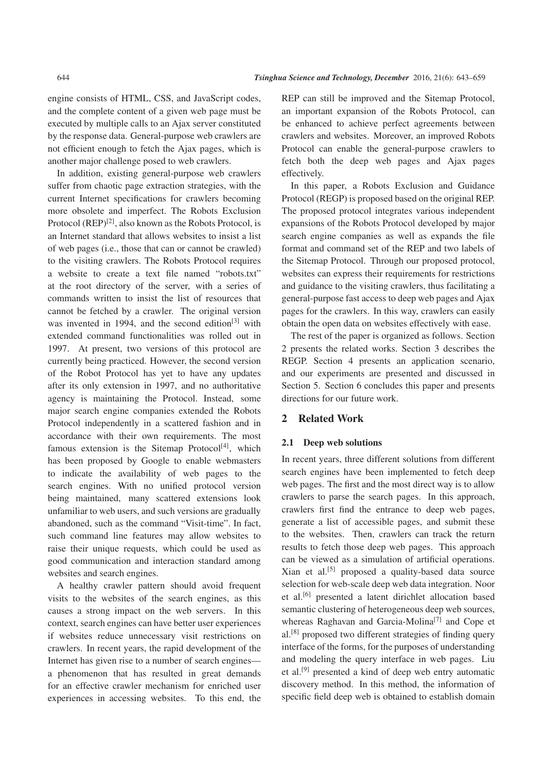engine consists of HTML, CSS, and JavaScript codes, and the complete content of a given web page must be executed by multiple calls to an Ajax server constituted by the response data. General-purpose web crawlers are not efficient enough to fetch the Ajax pages, which is another major challenge posed to web crawlers.

In addition, existing general-purpose web crawlers suffer from chaotic page extraction strategies, with the current Internet specifications for crawlers becoming more obsolete and imperfect. The Robots Exclusion Protocol  $(REP)^{[2]}$ , also known as the Robots Protocol, is an Internet standard that allows websites to insist a list of web pages (i.e., those that can or cannot be crawled) to the visiting crawlers. The Robots Protocol requires a website to create a text file named "robots.txt" at the root directory of the server, with a series of commands written to insist the list of resources that cannot be fetched by a crawler. The original version was invented in 1994, and the second edition<sup>[3]</sup> with extended command functionalities was rolled out in 1997. At present, two versions of this protocol are currently being practiced. However, the second version of the Robot Protocol has yet to have any updates after its only extension in 1997, and no authoritative agency is maintaining the Protocol. Instead, some major search engine companies extended the Robots Protocol independently in a scattered fashion and in accordance with their own requirements. The most famous extension is the Sitemap Protocol<sup>[4]</sup>, which has been proposed by Google to enable webmasters to indicate the availability of web pages to the search engines. With no unified protocol version being maintained, many scattered extensions look unfamiliar to web users, and such versions are gradually abandoned, such as the command "Visit-time". In fact, such command line features may allow websites to raise their unique requests, which could be used as good communication and interaction standard among websites and search engines.

A healthy crawler pattern should avoid frequent visits to the websites of the search engines, as this causes a strong impact on the web servers. In this context, search engines can have better user experiences if websites reduce unnecessary visit restrictions on crawlers. In recent years, the rapid development of the Internet has given rise to a number of search engines a phenomenon that has resulted in great demands for an effective crawler mechanism for enriched user experiences in accessing websites. To this end, the

REP can still be improved and the Sitemap Protocol, an important expansion of the Robots Protocol, can be enhanced to achieve perfect agreements between crawlers and websites. Moreover, an improved Robots Protocol can enable the general-purpose crawlers to fetch both the deep web pages and Ajax pages effectively.

In this paper, a Robots Exclusion and Guidance Protocol (REGP) is proposed based on the original REP. The proposed protocol integrates various independent expansions of the Robots Protocol developed by major search engine companies as well as expands the file format and command set of the REP and two labels of the Sitemap Protocol. Through our proposed protocol, websites can express their requirements for restrictions and guidance to the visiting crawlers, thus facilitating a general-purpose fast access to deep web pages and Ajax pages for the crawlers. In this way, crawlers can easily obtain the open data on websites effectively with ease.

The rest of the paper is organized as follows. Section 2 presents the related works. Section 3 describes the REGP. Section 4 presents an application scenario, and our experiments are presented and discussed in Section 5. Section 6 concludes this paper and presents directions for our future work.

# 2 Related Work

#### 2.1 Deep web solutions

In recent years, three different solutions from different search engines have been implemented to fetch deep web pages. The first and the most direct way is to allow crawlers to parse the search pages. In this approach, crawlers first find the entrance to deep web pages, generate a list of accessible pages, and submit these to the websites. Then, crawlers can track the return results to fetch those deep web pages. This approach can be viewed as a simulation of artificial operations. Xian et al.[5] proposed a quality-based data source selection for web-scale deep web data integration. Noor et al.[6] presented a latent dirichlet allocation based semantic clustering of heterogeneous deep web sources, whereas Raghavan and Garcia-Molina<sup>[7]</sup> and Cope et al.[8] proposed two different strategies of finding query interface of the forms, for the purposes of understanding and modeling the query interface in web pages. Liu et al.[9] presented a kind of deep web entry automatic discovery method. In this method, the information of specific field deep web is obtained to establish domain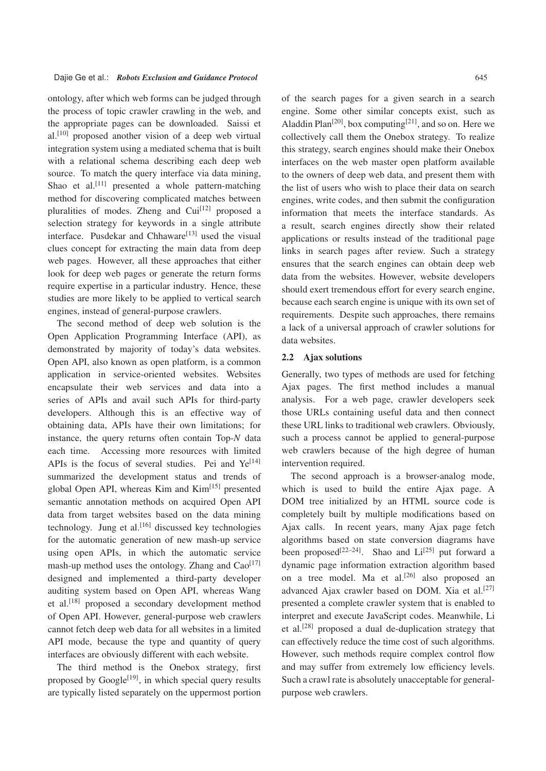ontology, after which web forms can be judged through the process of topic crawler crawling in the web, and the appropriate pages can be downloaded. Saissi et al.[10] proposed another vision of a deep web virtual integration system using a mediated schema that is built with a relational schema describing each deep web source. To match the query interface via data mining, Shao et al.<sup>[11]</sup> presented a whole pattern-matching method for discovering complicated matches between pluralities of modes. Zheng and Cui<sup>[12]</sup> proposed a selection strategy for keywords in a single attribute interface. Pusdekar and Chhaware<sup>[13]</sup> used the visual clues concept for extracting the main data from deep web pages. However, all these approaches that either look for deep web pages or generate the return forms require expertise in a particular industry. Hence, these studies are more likely to be applied to vertical search engines, instead of general-purpose crawlers.

The second method of deep web solution is the Open Application Programming Interface (API), as demonstrated by majority of today's data websites. Open API, also known as open platform, is a common application in service-oriented websites. Websites encapsulate their web services and data into a series of APIs and avail such APIs for third-party developers. Although this is an effective way of obtaining data, APIs have their own limitations; for instance, the query returns often contain Top-*N* data each time. Accessing more resources with limited APIs is the focus of several studies. Pei and  $Ye^{[14]}$ summarized the development status and trends of global Open API, whereas Kim and Kim<sup>[15]</sup> presented semantic annotation methods on acquired Open API data from target websites based on the data mining technology. Jung et al.<sup>[16]</sup> discussed key technologies for the automatic generation of new mash-up service using open APIs, in which the automatic service mash-up method uses the ontology. Zhang and  $CaO^{[17]}$ designed and implemented a third-party developer auditing system based on Open API, whereas Wang et al.[18] proposed a secondary development method of Open API. However, general-purpose web crawlers cannot fetch deep web data for all websites in a limited API mode, because the type and quantity of query interfaces are obviously different with each website.

The third method is the Onebox strategy, first proposed by Google $[19]$ , in which special query results are typically listed separately on the uppermost portion of the search pages for a given search in a search engine. Some other similar concepts exist, such as Aladdin Plan<sup>[20]</sup>, box computing<sup>[21]</sup>, and so on. Here we collectively call them the Onebox strategy. To realize this strategy, search engines should make their Onebox interfaces on the web master open platform available to the owners of deep web data, and present them with the list of users who wish to place their data on search engines, write codes, and then submit the configuration information that meets the interface standards. As a result, search engines directly show their related applications or results instead of the traditional page links in search pages after review. Such a strategy ensures that the search engines can obtain deep web data from the websites. However, website developers should exert tremendous effort for every search engine, because each search engine is unique with its own set of requirements. Despite such approaches, there remains a lack of a universal approach of crawler solutions for data websites.

# 2.2 Ajax solutions

Generally, two types of methods are used for fetching Ajax pages. The first method includes a manual analysis. For a web page, crawler developers seek those URLs containing useful data and then connect these URL links to traditional web crawlers. Obviously, such a process cannot be applied to general-purpose web crawlers because of the high degree of human intervention required.

The second approach is a browser-analog mode, which is used to build the entire Ajax page. A DOM tree initialized by an HTML source code is completely built by multiple modifications based on Ajax calls. In recent years, many Ajax page fetch algorithms based on state conversion diagrams have been proposed<sup>[22–24]</sup>. Shao and  $Li^{[25]}$  put forward a dynamic page information extraction algorithm based on a tree model. Ma et al.<sup>[26]</sup> also proposed an advanced Ajax crawler based on DOM. Xia et al.<sup>[27]</sup> presented a complete crawler system that is enabled to interpret and execute JavaScript codes. Meanwhile, Li et al.[28] proposed a dual de-duplication strategy that can effectively reduce the time cost of such algorithms. However, such methods require complex control flow and may suffer from extremely low efficiency levels. Such a crawl rate is absolutely unacceptable for generalpurpose web crawlers.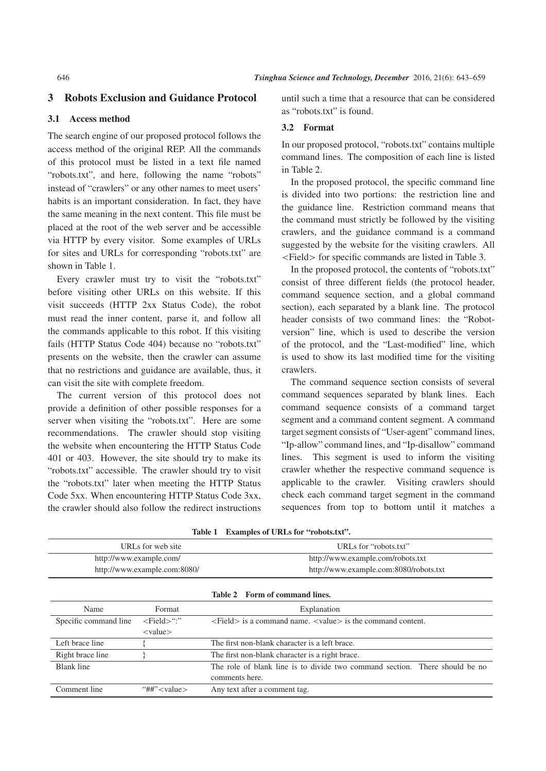# 3 Robots Exclusion and Guidance Protocol

# 3.1 Access method

The search engine of our proposed protocol follows the access method of the original REP. All the commands of this protocol must be listed in a text file named "robots.txt", and here, following the name "robots" instead of "crawlers" or any other names to meet users' habits is an important consideration. In fact, they have the same meaning in the next content. This file must be placed at the root of the web server and be accessible via HTTP by every visitor. Some examples of URLs for sites and URLs for corresponding "robots.txt" are shown in Table 1.

Every crawler must try to visit the "robots.txt" before visiting other URLs on this website. If this visit succeeds (HTTP 2xx Status Code), the robot must read the inner content, parse it, and follow all the commands applicable to this robot. If this visiting fails (HTTP Status Code 404) because no "robots.txt" presents on the website, then the crawler can assume that no restrictions and guidance are available, thus, it can visit the site with complete freedom.

The current version of this protocol does not provide a definition of other possible responses for a server when visiting the "robots.txt". Here are some recommendations. The crawler should stop visiting the website when encountering the HTTP Status Code 401 or 403. However, the site should try to make its "robots.txt" accessible. The crawler should try to visit the "robots.txt" later when meeting the HTTP Status Code 5xx. When encountering HTTP Status Code 3xx, the crawler should also follow the redirect instructions

until such a time that a resource that can be considered as "robots txt" is found.

#### 3.2 Format

In our proposed protocol, "robots.txt" contains multiple command lines. The composition of each line is listed in Table 2.

In the proposed protocol, the specific command line is divided into two portions: the restriction line and the guidance line. Restriction command means that the command must strictly be followed by the visiting crawlers, and the guidance command is a command suggested by the website for the visiting crawlers. All <Field> for specific commands are listed in Table 3.

In the proposed protocol, the contents of "robots.txt" consist of three different fields (the protocol header, command sequence section, and a global command section), each separated by a blank line. The protocol header consists of two command lines: the "Robotversion" line, which is used to describe the version of the protocol, and the "Last-modified" line, which is used to show its last modified time for the visiting crawlers.

The command sequence section consists of several command sequences separated by blank lines. Each command sequence consists of a command target segment and a command content segment. A command target segment consists of "User-agent" command lines, "Ip-allow" command lines, and "Ip-disallow" command lines. This segment is used to inform the visiting crawler whether the respective command sequence is applicable to the crawler. Visiting crawlers should check each command target segment in the command sequences from top to bottom until it matches a

| URLs for web site              |                                | URLs for "robots.txt"                                                       |  |  |
|--------------------------------|--------------------------------|-----------------------------------------------------------------------------|--|--|
| http://www.example.com/        |                                | http://www.example.com/robots.txt                                           |  |  |
| http://www.example.com:8080/   |                                | http://www.example.com:8080/robots.txt                                      |  |  |
| Table 2 Form of command lines. |                                |                                                                             |  |  |
| Name                           | Format                         | Explanation                                                                 |  |  |
| Specific command line          | $\le$ Field $\ge$ ":"          | $\le$ Field is a command name. $\le$ value is the command content.          |  |  |
|                                | $<$ value $>$                  |                                                                             |  |  |
| Left brace line                |                                | The first non-blank character is a left brace.                              |  |  |
| Right brace line               |                                | The first non-blank character is a right brace.                             |  |  |
| Blank line                     |                                | The role of blank line is to divide two command section. There should be no |  |  |
|                                |                                | comments here.                                                              |  |  |
| Comment line                   | "##" $\langle$ value $\rangle$ | Any text after a comment tag.                                               |  |  |

Table 1 Examples of URLs for "robots.txt".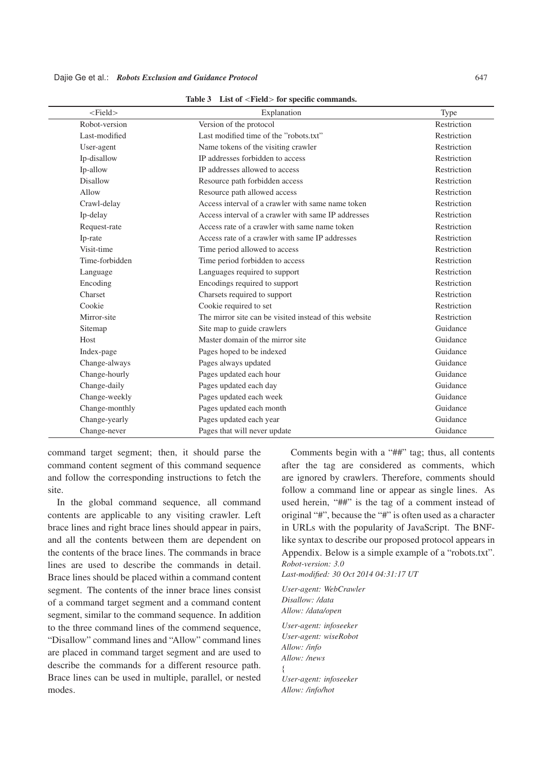| Dajie Ge et al.: Robots Exclusion and Guidance Protocol |  |
|---------------------------------------------------------|--|
|---------------------------------------------------------|--|

| $<$ Field $>$   | Explanation                                            | Type        |
|-----------------|--------------------------------------------------------|-------------|
| Robot-version   | Version of the protocol                                | Restriction |
| Last-modified   | Last modified time of the "robots.txt"                 | Restriction |
| User-agent      | Name tokens of the visiting crawler                    | Restriction |
| Ip-disallow     | IP addresses forbidden to access                       | Restriction |
| Ip-allow        | IP addresses allowed to access                         | Restriction |
| <b>Disallow</b> | Resource path forbidden access                         | Restriction |
| Allow           | Resource path allowed access                           | Restriction |
| Crawl-delay     | Access interval of a crawler with same name token      | Restriction |
| Ip-delay        | Access interval of a crawler with same IP addresses    | Restriction |
| Request-rate    | Access rate of a crawler with same name token          | Restriction |
| Ip-rate         | Access rate of a crawler with same IP addresses        | Restriction |
| Visit-time      | Time period allowed to access                          | Restriction |
| Time-forbidden  | Time period forbidden to access                        | Restriction |
| Language        | Languages required to support                          | Restriction |
| Encoding        | Encodings required to support                          | Restriction |
| Charset         | Charsets required to support                           | Restriction |
| Cookie          | Cookie required to set                                 | Restriction |
| Mirror-site     | The mirror site can be visited instead of this website | Restriction |
| Sitemap         | Site map to guide crawlers                             | Guidance    |
| Host            | Master domain of the mirror site                       | Guidance    |
| Index-page      | Pages hoped to be indexed                              | Guidance    |
| Change-always   | Pages always updated                                   | Guidance    |
| Change-hourly   | Pages updated each hour                                | Guidance    |
| Change-daily    | Pages updated each day                                 | Guidance    |
| Change-weekly   | Pages updated each week                                | Guidance    |
| Change-monthly  | Pages updated each month                               | Guidance    |
| Change-yearly   | Pages updated each year                                | Guidance    |
| Change-never    | Pages that will never update                           | Guidance    |

Table 3 List of <Field> for specific commands.

command target segment; then, it should parse the command content segment of this command sequence and follow the corresponding instructions to fetch the site.

In the global command sequence, all command contents are applicable to any visiting crawler. Left brace lines and right brace lines should appear in pairs, and all the contents between them are dependent on the contents of the brace lines. The commands in brace lines are used to describe the commands in detail. Brace lines should be placed within a command content segment. The contents of the inner brace lines consist of a command target segment and a command content segment, similar to the command sequence. In addition to the three command lines of the commend sequence, "Disallow" command lines and "Allow" command lines are placed in command target segment and are used to describe the commands for a different resource path. Brace lines can be used in multiple, parallel, or nested modes.

Comments begin with a "##" tag; thus, all contents after the tag are considered as comments, which are ignored by crawlers. Therefore, comments should follow a command line or appear as single lines. As used herein, "##" is the tag of a comment instead of original "#", because the "#" is often used as a character in URLs with the popularity of JavaScript. The BNFlike syntax to describe our proposed protocol appears in Appendix. Below is a simple example of a "robots.txt". *Robot-version: 3.0*

*Last-modified: 30 Oct 2014 04:31:17 UT*

*User-agent: WebCrawler Disallow: /data Allow: /data/open User-agent: infoseeker User-agent: wiseRobot Allow: /info Allow: /news* f *User-agent: infoseeker*

*Allow: /info/hot*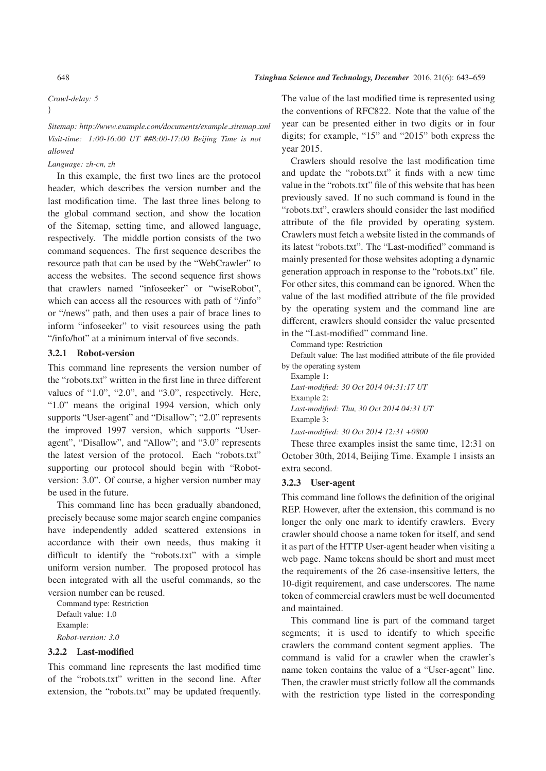#### *Crawl-delay: 5*

# g

*Sitemap: http://www.example.com/documents/example sitemap.xml Visit-time: 1:00-16:00 UT ##8:00-17:00 Beijing Time is not allowed*

### *Language: zh-cn, zh*

In this example, the first two lines are the protocol header, which describes the version number and the last modification time. The last three lines belong to the global command section, and show the location of the Sitemap, setting time, and allowed language, respectively. The middle portion consists of the two command sequences. The first sequence describes the resource path that can be used by the "WebCrawler" to access the websites. The second sequence first shows that crawlers named "infoseeker" or "wiseRobot", which can access all the resources with path of "/info" or "/news" path, and then uses a pair of brace lines to inform "infoseeker" to visit resources using the path "/info/hot" at a minimum interval of five seconds.

# 3.2.1 Robot-version

This command line represents the version number of the "robots.txt" written in the first line in three different values of "1.0", "2.0", and "3.0", respectively. Here, "1.0" means the original 1994 version, which only supports "User-agent" and "Disallow"; "2.0" represents the improved 1997 version, which supports "Useragent", "Disallow", and "Allow"; and "3.0" represents the latest version of the protocol. Each "robots.txt" supporting our protocol should begin with "Robotversion: 3.0". Of course, a higher version number may be used in the future.

This command line has been gradually abandoned, precisely because some major search engine companies have independently added scattered extensions in accordance with their own needs, thus making it difficult to identify the "robots.txt" with a simple uniform version number. The proposed protocol has been integrated with all the useful commands, so the version number can be reused.

Command type: Restriction Default value: 1.0 Example: *Robot-version: 3.0*

#### 3.2.2 Last-modified

This command line represents the last modified time of the "robots.txt" written in the second line. After extension, the "robots.txt" may be updated frequently. The value of the last modified time is represented using the conventions of RFC822. Note that the value of the year can be presented either in two digits or in four digits; for example, "15" and "2015" both express the year 2015.

Crawlers should resolve the last modification time and update the "robots.txt" it finds with a new time value in the "robots.txt" file of this website that has been previously saved. If no such command is found in the "robots.txt", crawlers should consider the last modified attribute of the file provided by operating system. Crawlers must fetch a website listed in the commands of its latest "robots.txt". The "Last-modified" command is mainly presented for those websites adopting a dynamic generation approach in response to the "robots.txt" file. For other sites, this command can be ignored. When the value of the last modified attribute of the file provided by the operating system and the command line are different, crawlers should consider the value presented in the "Last-modified" command line.

Command type: Restriction

Default value: The last modified attribute of the file provided by the operating system

| Example 1:                                    |
|-----------------------------------------------|
| Last-modified: 30 Oct 2014 04:31:17 UT        |
| Example 2:                                    |
| Last-modified: Thu, 30 Oct 2014 04:31 UT      |
| Example 3:                                    |
| Last-modified: $30$ Oct $2014$ $12:31 + 0800$ |

These three examples insist the same time, 12:31 on October 30th, 2014, Beijing Time. Example 1 insists an extra second.

#### 3.2.3 User-agent

This command line follows the definition of the original REP. However, after the extension, this command is no longer the only one mark to identify crawlers. Every crawler should choose a name token for itself, and send it as part of the HTTP User-agent header when visiting a web page. Name tokens should be short and must meet the requirements of the 26 case-insensitive letters, the 10-digit requirement, and case underscores. The name token of commercial crawlers must be well documented and maintained.

This command line is part of the command target segments; it is used to identify to which specific crawlers the command content segment applies. The command is valid for a crawler when the crawler's name token contains the value of a "User-agent" line. Then, the crawler must strictly follow all the commands with the restriction type listed in the corresponding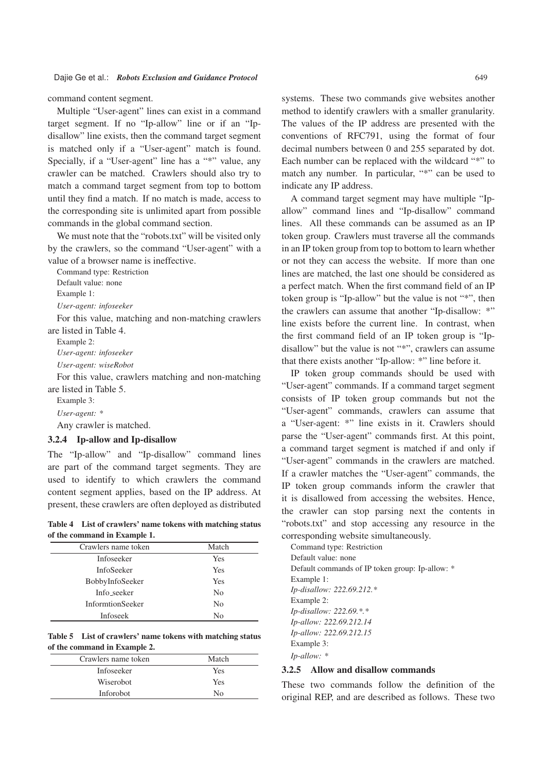command content segment.

Multiple "User-agent" lines can exist in a command target segment. If no "Ip-allow" line or if an "Ipdisallow" line exists, then the command target segment is matched only if a "User-agent" match is found. Specially, if a "User-agent" line has a "\*" value, any crawler can be matched. Crawlers should also try to match a command target segment from top to bottom until they find a match. If no match is made, access to the corresponding site is unlimited apart from possible commands in the global command section.

We must note that the "robots.txt" will be visited only by the crawlers, so the command "User-agent" with a value of a browser name is ineffective.

Command type: Restriction Default value: none

Example 1:

*User-agent: infoseeker*

For this value, matching and non-matching crawlers are listed in Table 4.

Example 2:

*User-agent: infoseeker*

*User-agent: wiseRobot*

For this value, crawlers matching and non-matching are listed in Table 5.

Example 3:

*User-agent: \**

Any crawler is matched.

## 3.2.4 Ip-allow and Ip-disallow

The "Ip-allow" and "Ip-disallow" command lines are part of the command target segments. They are used to identify to which crawlers the command content segment applies, based on the IP address. At present, these crawlers are often deployed as distributed

Table 4 List of crawlers' name tokens with matching status of the command in Example 1.

| Crawlers name token     | Match          |
|-------------------------|----------------|
| Infoseeker              | Yes            |
| <b>InfoSeeker</b>       | Yes            |
| BobbyInfoSeeker         | Yes            |
| Info_seeker             | N <sub>0</sub> |
| <b>InformtionSeeker</b> | No             |
| Infoseek                | No             |

Table 5 List of crawlers' name tokens with matching status of the command in Example 2.

| Crawlers name token | Match |
|---------------------|-------|
| Infoseeker          | Yes   |
| <b>Wiserobot</b>    | Yes   |
| Inforobot           | Nο    |

systems. These two commands give websites another method to identify crawlers with a smaller granularity. The values of the IP address are presented with the conventions of RFC791, using the format of four decimal numbers between 0 and 255 separated by dot. Each number can be replaced with the wildcard "\*" to match any number. In particular, "\*" can be used to indicate any IP address.

A command target segment may have multiple "Ipallow" command lines and "Ip-disallow" command lines. All these commands can be assumed as an IP token group. Crawlers must traverse all the commands in an IP token group from top to bottom to learn whether or not they can access the website. If more than one lines are matched, the last one should be considered as a perfect match. When the first command field of an IP token group is "Ip-allow" but the value is not "\*", then the crawlers can assume that another "Ip-disallow: \*" line exists before the current line. In contrast, when the first command field of an IP token group is "Ipdisallow" but the value is not "\*", crawlers can assume that there exists another "Ip-allow: \*" line before it.

IP token group commands should be used with "User-agent" commands. If a command target segment consists of IP token group commands but not the "User-agent" commands, crawlers can assume that a "User-agent: \*" line exists in it. Crawlers should parse the "User-agent" commands first. At this point, a command target segment is matched if and only if "User-agent" commands in the crawlers are matched. If a crawler matches the "User-agent" commands, the IP token group commands inform the crawler that it is disallowed from accessing the websites. Hence, the crawler can stop parsing next the contents in "robots.txt" and stop accessing any resource in the corresponding website simultaneously.

Command type: Restriction Default value: none Default commands of IP token group: Ip-allow: \* Example 1: *Ip-disallow: 222.69.212.\** Example 2: *Ip-disallow: 222.69.\*.\* Ip-allow: 222.69.212.14 Ip-allow: 222.69.212.15* Example 3: *Ip-allow: \**

#### 3.2.5 Allow and disallow commands

These two commands follow the definition of the original REP, and are described as follows. These two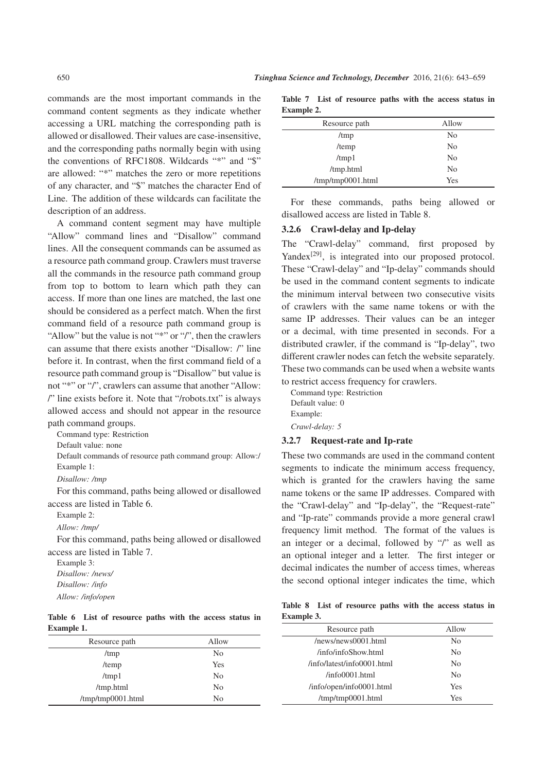commands are the most important commands in the command content segments as they indicate whether accessing a URL matching the corresponding path is allowed or disallowed. Their values are case-insensitive, and the corresponding paths normally begin with using the conventions of RFC1808. Wildcards "\*" and "\$" are allowed: "\*" matches the zero or more repetitions of any character, and "\$" matches the character End of Line. The addition of these wildcards can facilitate the description of an address.

A command content segment may have multiple "Allow" command lines and "Disallow" command lines. All the consequent commands can be assumed as a resource path command group. Crawlers must traverse all the commands in the resource path command group from top to bottom to learn which path they can access. If more than one lines are matched, the last one should be considered as a perfect match. When the first command field of a resource path command group is "Allow" but the value is not "\*" or "/", then the crawlers can assume that there exists another "Disallow: /" line before it. In contrast, when the first command field of a resource path command group is "Disallow" but value is not "\*" or "/", crawlers can assume that another "Allow: /" line exists before it. Note that "/robots.txt" is always allowed access and should not appear in the resource path command groups.

Command type: Restriction

Default value: none

Default commands of resource path command group: Allow:/ Example 1:

*Disallow: /tmp*

For this command, paths being allowed or disallowed access are listed in Table 6.

Example 2:

*Allow: /tmp/*

For this command, paths being allowed or disallowed access are listed in Table 7.

Example 3: *Disallow: /news/ Disallow: /info Allow: /info/open*

#### Table 6 List of resource paths with the access status in Example 1.

| Resource path     | Allow          |
|-------------------|----------------|
| /tmp              | N <sub>0</sub> |
| /temp             | Yes            |
| $/\text{tmp1}$    | N <sub>0</sub> |
| /tmp.html         | N <sub>0</sub> |
| /tmp/tmp0001.html | No             |

Table 7 List of resource paths with the access status in Example 2.

| Resource path     | Allow          |
|-------------------|----------------|
| /tmp              | N <sub>0</sub> |
| /temp             | N <sub>0</sub> |
| $/\text{tmp1}$    | N <sub>0</sub> |
| /tmp.html         | N <sub>0</sub> |
| /tmp/tmp0001.html | Yes            |

For these commands, paths being allowed or disallowed access are listed in Table 8.

# 3.2.6 Crawl-delay and Ip-delay

The "Crawl-delay" command, first proposed by Yandex<sup>[29]</sup>, is integrated into our proposed protocol. These "Crawl-delay" and "Ip-delay" commands should be used in the command content segments to indicate the minimum interval between two consecutive visits of crawlers with the same name tokens or with the same IP addresses. Their values can be an integer or a decimal, with time presented in seconds. For a distributed crawler, if the command is "Ip-delay", two different crawler nodes can fetch the website separately. These two commands can be used when a website wants to restrict access frequency for crawlers.

Command type: Restriction Default value: 0 Example: *Crawl-delay: 5*

#### 3.2.7 Request-rate and Ip-rate

These two commands are used in the command content segments to indicate the minimum access frequency, which is granted for the crawlers having the same name tokens or the same IP addresses. Compared with the "Crawl-delay" and "Ip-delay", the "Request-rate" and "Ip-rate" commands provide a more general crawl frequency limit method. The format of the values is an integer or a decimal, followed by "/" as well as an optional integer and a letter. The first integer or decimal indicates the number of access times, whereas the second optional integer indicates the time, which

Table 8 List of resource paths with the access status in Example 3.

| Resource path                 | Allow          |
|-------------------------------|----------------|
| /news/news0001.html           | No             |
| /info/infoShow.html           | N <sub>0</sub> |
| /info/latest/info0001.html    | N <sub>0</sub> |
| $/inf$ <sub>00001</sub> .html | N <sub>0</sub> |
| /info/open/info0001.html      | Yes            |
| $\mu$ mp/tmp0001.html         | Yes            |
|                               |                |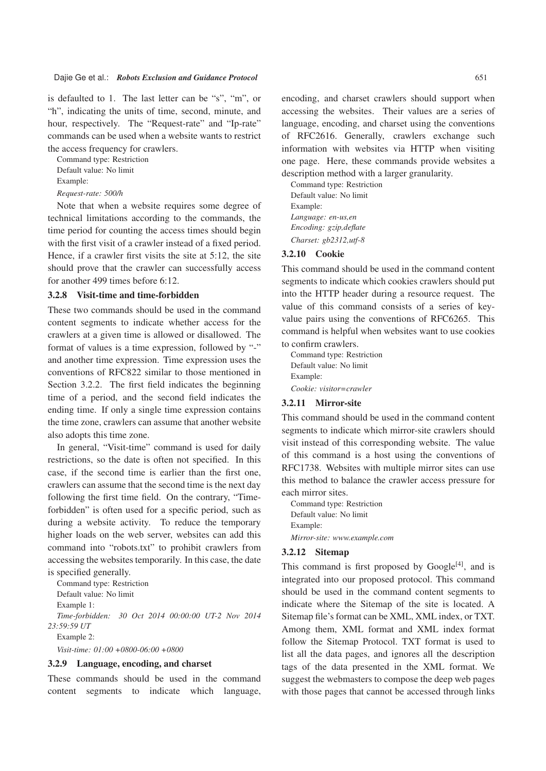is defaulted to 1. The last letter can be "s", "m", or "h", indicating the units of time, second, minute, and hour, respectively. The "Request-rate" and "Ip-rate" commands can be used when a website wants to restrict the access frequency for crawlers.

Command type: Restriction Default value: No limit Example:

*Request-rate: 500/h*

Note that when a website requires some degree of technical limitations according to the commands, the time period for counting the access times should begin with the first visit of a crawler instead of a fixed period. Hence, if a crawler first visits the site at 5:12, the site should prove that the crawler can successfully access for another 499 times before 6:12.

#### 3.2.8 Visit-time and time-forbidden

These two commands should be used in the command content segments to indicate whether access for the crawlers at a given time is allowed or disallowed. The format of values is a time expression, followed by "-" and another time expression. Time expression uses the conventions of RFC822 similar to those mentioned in Section 3.2.2. The first field indicates the beginning time of a period, and the second field indicates the ending time. If only a single time expression contains the time zone, crawlers can assume that another website also adopts this time zone.

In general, "Visit-time" command is used for daily restrictions, so the date is often not specified. In this case, if the second time is earlier than the first one, crawlers can assume that the second time is the next day following the first time field. On the contrary, "Timeforbidden" is often used for a specific period, such as during a website activity. To reduce the temporary higher loads on the web server, websites can add this command into "robots.txt" to prohibit crawlers from accessing the websites temporarily. In this case, the date is specified generally.

Command type: Restriction Default value: No limit Example 1: *Time-forbidden: 30 Oct 2014 00:00:00 UT-2 Nov 2014 23:59:59 UT* Example 2:

*Visit-time: 01:00 +0800-06:00 +0800*

#### 3.2.9 Language, encoding, and charset

These commands should be used in the command content segments to indicate which language, encoding, and charset crawlers should support when accessing the websites. Their values are a series of language, encoding, and charset using the conventions of RFC2616. Generally, crawlers exchange such information with websites via HTTP when visiting one page. Here, these commands provide websites a description method with a larger granularity.

Command type: Restriction Default value: No limit Example: *Language: en-us,en Encoding: gzip,deflate Charset: gb2312,utf-8*

#### 3.2.10 Cookie

This command should be used in the command content segments to indicate which cookies crawlers should put into the HTTP header during a resource request. The value of this command consists of a series of keyvalue pairs using the conventions of RFC6265. This command is helpful when websites want to use cookies to confirm crawlers.

Command type: Restriction Default value: No limit Example: *Cookie: visitor=crawler*

#### 3.2.11 Mirror-site

This command should be used in the command content segments to indicate which mirror-site crawlers should visit instead of this corresponding website. The value of this command is a host using the conventions of RFC1738. Websites with multiple mirror sites can use this method to balance the crawler access pressure for each mirror sites.

Command type: Restriction Default value: No limit Example: *Mirror-site: www.example.com*

#### 3.2.12 Sitemap

This command is first proposed by  $Google^{[4]}$ , and is integrated into our proposed protocol. This command should be used in the command content segments to indicate where the Sitemap of the site is located. A Sitemap file's format can be XML, XML index, or TXT. Among them, XML format and XML index format follow the Sitemap Protocol. TXT format is used to list all the data pages, and ignores all the description tags of the data presented in the XML format. We suggest the webmasters to compose the deep web pages with those pages that cannot be accessed through links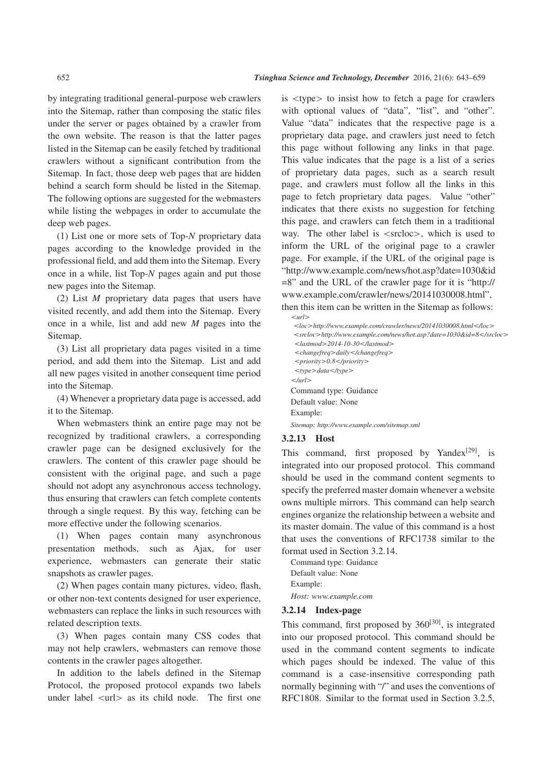by integrating traditional general-purpose web crawlers into the Sitemap, rather than composing the static files under the server or pages obtained by a crawler from the own website. The reason is that the latter pages listed in the Sitemap can be easily fetched by traditional crawlers without a significant contribution from the Sitemap. In fact, those deep web pages that are hidden behind a search form should be listed in the Sitemap. The following options are suggested for the webmasters while listing the webpages in order to accumulate the deep web pages.

(1) List one or more sets of Top-*N* proprietary data pages according to the knowledge provided in the professional field, and add them into the Sitemap. Every once in a while, list Top-*N* pages again and put those new pages into the Sitemap.

(2) List *M* proprietary data pages that users have visited recently, and add them into the Sitemap. Every once in a while, list and add new *M* pages into the Sitemap.

(3) List all proprietary data pages visited in a time period, and add them into the Sitemap. List and add all new pages visited in another consequent time period into the Sitemap.

(4) Whenever a proprietary data page is accessed, add it to the Sitemap.

When webmasters think an entire page may not be recognized by traditional crawlers, a corresponding crawler page can be designed exclusively for the crawlers. The content of this crawler page should be consistent with the original page, and such a page should not adopt any asynchronous access technology, thus ensuring that crawlers can fetch complete contents through a single request. By this way, fetching can be more effective under the following scenarios.

(1) When pages contain many asynchronous presentation methods, such as Ajax, for user experience, webmasters can generate their static snapshots as crawler pages.

(2) When pages contain many pictures, video, flash, or other non-text contents designed for user experience, webmasters can replace the links in such resources with related description texts.

(3) When pages contain many CSS codes that may not help crawlers, webmasters can remove those contents in the crawler pages altogether.

In addition to the labels defined in the Sitemap Protocol, the proposed protocol expands two labels under label  $\langle$ url $>$  as its child node. The first one is <type> to insist how to fetch a page for crawlers with optional values of "data", "list", and "other". Value "data" indicates that the respective page is a proprietary data page, and crawlers just need to fetch this page without following any links in that page. This value indicates that the page is a list of a series of proprietary data pages, such as a search result page, and crawlers must follow all the links in this page to fetch proprietary data pages. Value "other" indicates that there exists no suggestion for fetching this page, and crawlers can fetch them in a traditional way. The other label is  $\langle$ srcloc $\rangle$ , which is used to inform the URL of the original page to a crawler page. For example, if the URL of the original page is "http://www.example.com/news/hot.asp?date=1030&id =8" and the URL of the crawler page for it is "http:// www.example.com/crawler/news/20141030008.html",

then this item can be written in the Sitemap as follows: <*url*>

<*loc*>*http://www.example.com/crawler/news/20141030008.html*<*/loc*> <*srcloc*>*http://www.example.com/news/hot.asp?date=1030&id=8*<*/srcloc*> <*lastmod*>*2014-10-30*<*/lastmod*> <*changefreq*>*daily*<*/changefreq*> <*priority*>*0.8*<*/priority*> <*type*>*data*<*/type*> <*/url*> Command type: Guidance Default value: None Example: *Sitemap: http://www.example.com/sitemap.xml*

#### 3.2.13 Host

This command, first proposed by Yandex $[29]$ , is integrated into our proposed protocol. This command should be used in the command content segments to specify the preferred master domain whenever a website owns multiple mirrors. This command can help search engines organize the relationship between a website and its master domain. The value of this command is a host that uses the conventions of RFC1738 similar to the format used in Section 3.2.14.

Command type: Guidance Default value: None Example: *Host: www.example.com*

#### 3.2.14 Index-page

This command, first proposed by  $360^{[30]}$ , is integrated into our proposed protocol. This command should be used in the command content segments to indicate which pages should be indexed. The value of this command is a case-insensitive corresponding path normally beginning with "/" and uses the conventions of RFC1808. Similar to the format used in Section 3.2.5,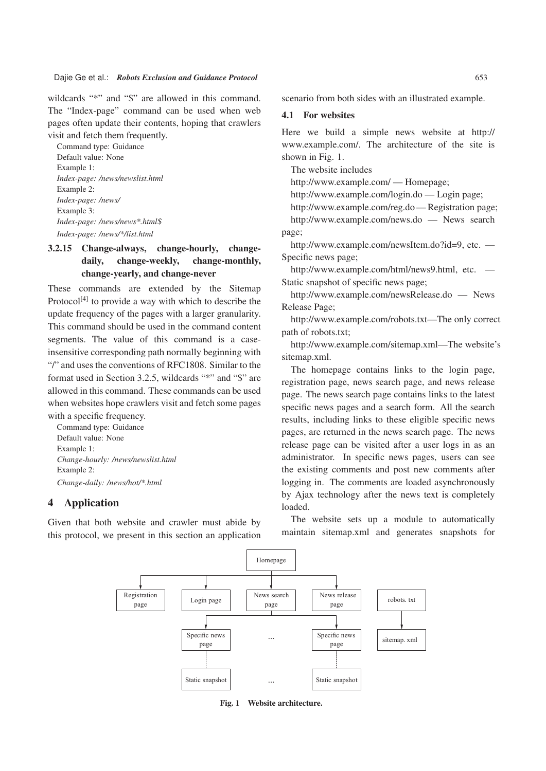#### Dajie Ge et al.: *Robots Exclusion and Guidance Protocol* 653

wildcards "\*" and "\$" are allowed in this command. The "Index-page" command can be used when web pages often update their contents, hoping that crawlers visit and fetch them frequently.

Command type: Guidance Default value: None Example 1: *Index-page: /news/newslist.html* Example 2: *Index-page: /news/* Example 3: *Index-page: /news/news\*.html*\$ *Index-page: /news/\*/list.html*

# 3.2.15 Change-always, change-hourly, changedaily, change-weekly, change-monthly, change-yearly, and change-never

These commands are extended by the Sitemap Protocol<sup>[4]</sup> to provide a way with which to describe the update frequency of the pages with a larger granularity. This command should be used in the command content segments. The value of this command is a caseinsensitive corresponding path normally beginning with "/" and uses the conventions of RFC1808. Similar to the format used in Section 3.2.5, wildcards "\*" and "\$" are allowed in this command. These commands can be used when websites hope crawlers visit and fetch some pages with a specific frequency.

Command type: Guidance Default value: None Example 1: *Change-hourly: /news/newslist.html* Example 2: *Change-daily: /news/hot/\*.html*

# 4 Application

Given that both website and crawler must abide by this protocol, we present in this section an application scenario from both sides with an illustrated example.

# 4.1 For websites

Here we build a simple news website at http:// www.example.com/. The architecture of the site is shown in Fig. 1.

The website includes

http://www.example.com/ — Homepage;

http://www.example.com/login.do — Login page;

http://www.example.com/reg.do — Registration page; http://www.example.com/news.do — News search

page;

http://www.example.com/newsItem.do?id=9, etc. — Specific news page;

http://www.example.com/html/news9.html, etc. — Static snapshot of specific news page;

http://www.example.com/newsRelease.do — News Release Page;

http://www.example.com/robots.txt—The only correct path of robots.txt;

http://www.example.com/sitemap.xml—The website's sitemap.xml.

The homepage contains links to the login page, registration page, news search page, and news release page. The news search page contains links to the latest specific news pages and a search form. All the search results, including links to these eligible specific news pages, are returned in the news search page. The news release page can be visited after a user logs in as an administrator. In specific news pages, users can see the existing comments and post new comments after logging in. The comments are loaded asynchronously by Ajax technology after the news text is completely loaded.

The website sets up a module to automatically maintain sitemap.xml and generates snapshots for



Fig. 1 Website architecture.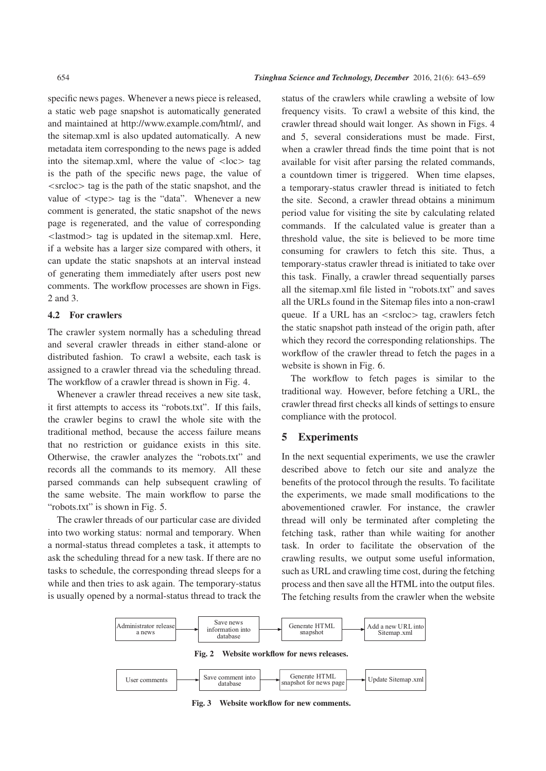specific news pages. Whenever a news piece is released, a static web page snapshot is automatically generated and maintained at http://www.example.com/html/, and the sitemap.xml is also updated automatically. A new metadata item corresponding to the news page is added into the sitemap.xml, where the value of  $\langle \text{loc} \rangle$  tag is the path of the specific news page, the value of  $\langle$ srcloc $>$  tag is the path of the static snapshot, and the value of <type> tag is the "data". Whenever a new comment is generated, the static snapshot of the news page is regenerated, and the value of corresponding <lastmod> tag is updated in the sitemap.xml. Here, if a website has a larger size compared with others, it can update the static snapshots at an interval instead of generating them immediately after users post new comments. The workflow processes are shown in Figs. 2 and 3.

# 4.2 For crawlers

The crawler system normally has a scheduling thread and several crawler threads in either stand-alone or distributed fashion. To crawl a website, each task is assigned to a crawler thread via the scheduling thread. The workflow of a crawler thread is shown in Fig. 4.

Whenever a crawler thread receives a new site task, it first attempts to access its "robots.txt". If this fails, the crawler begins to crawl the whole site with the traditional method, because the access failure means that no restriction or guidance exists in this site. Otherwise, the crawler analyzes the "robots.txt" and records all the commands to its memory. All these parsed commands can help subsequent crawling of the same website. The main workflow to parse the "robots.txt" is shown in Fig. 5.

The crawler threads of our particular case are divided into two working status: normal and temporary. When a normal-status thread completes a task, it attempts to ask the scheduling thread for a new task. If there are no tasks to schedule, the corresponding thread sleeps for a while and then tries to ask again. The temporary-status is usually opened by a normal-status thread to track the status of the crawlers while crawling a website of low frequency visits. To crawl a website of this kind, the crawler thread should wait longer. As shown in Figs. 4 and 5, several considerations must be made. First, when a crawler thread finds the time point that is not available for visit after parsing the related commands, a countdown timer is triggered. When time elapses, a temporary-status crawler thread is initiated to fetch the site. Second, a crawler thread obtains a minimum period value for visiting the site by calculating related commands. If the calculated value is greater than a threshold value, the site is believed to be more time consuming for crawlers to fetch this site. Thus, a temporary-status crawler thread is initiated to take over this task. Finally, a crawler thread sequentially parses all the sitemap.xml file listed in "robots.txt" and saves all the URLs found in the Sitemap files into a non-crawl queue. If a URL has an <srcloc> tag, crawlers fetch the static snapshot path instead of the origin path, after which they record the corresponding relationships. The workflow of the crawler thread to fetch the pages in a website is shown in Fig. 6.

The workflow to fetch pages is similar to the traditional way. However, before fetching a URL, the crawler thread first checks all kinds of settings to ensure compliance with the protocol.

# 5 Experiments

In the next sequential experiments, we use the crawler described above to fetch our site and analyze the benefits of the protocol through the results. To facilitate the experiments, we made small modifications to the abovementioned crawler. For instance, the crawler thread will only be terminated after completing the fetching task, rather than while waiting for another task. In order to facilitate the observation of the crawling results, we output some useful information, such as URL and crawling time cost, during the fetching process and then save all the HTML into the output files. The fetching results from the crawler when the website





Fig. 3 Website workflow for new comments.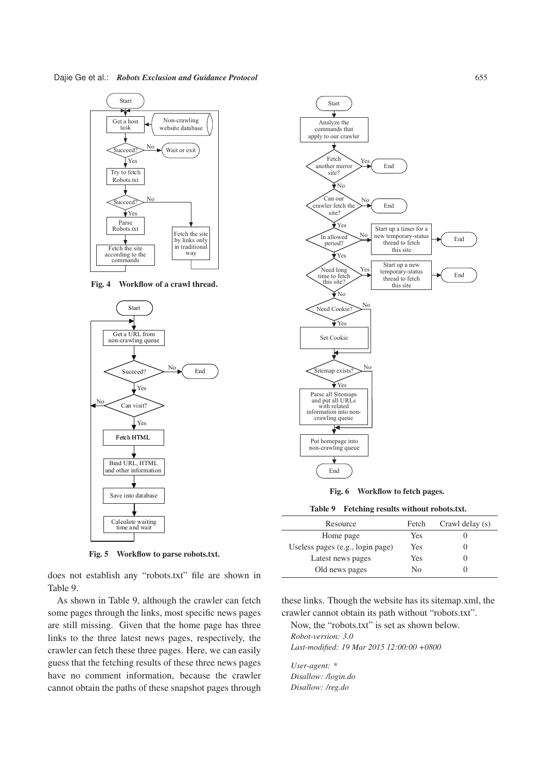

Fig. 4 Workflow of a crawl thread.



Fig. 5 Workflow to parse robots.txt.

does not establish any "robots.txt" file are shown in Table 9.

As shown in Table 9, although the crawler can fetch some pages through the links, most specific news pages are still missing. Given that the home page has three links to the three latest news pages, respectively, the crawler can fetch these three pages. Here, we can easily guess that the fetching results of these three news pages have no comment information, because the crawler cannot obtain the paths of these snapshot pages through



Fig. 6 Workflow to fetch pages.

Table 9 Fetching results without robots.txt.

| Resource                         | Fetch | Crawl delay (s) |
|----------------------------------|-------|-----------------|
| Home page                        | Yes   |                 |
| Useless pages (e.g., login page) | Yes   |                 |
| Latest news pages                | Yes   |                 |
| Old news pages                   | No    |                 |

these links. Though the website has its sitemap.xml, the crawler cannot obtain its path without "robots.txt".

Now, the "robots.txt" is set as shown below. *Robot-version: 3.0 Last-modified: 19 Mar 2015 12:00:00 +0800*

*User-agent: \* Disallow: /login.do Disallow: /reg.do*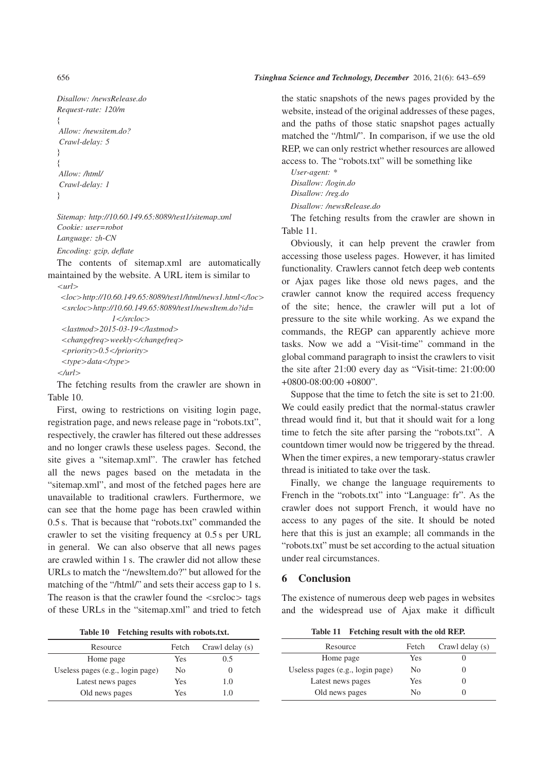```
Disallow: /newsRelease.do
Request-rate: 120/m
f
Allow: /newsitem.do?
Crawl-delay: 5
g
f
Allow: /html/
Crawl-delay: 1
g
```
*Sitemap: http://10.60.149.65:8089/test1/sitemap.xml Cookie: user=robot Language: zh-CN Encoding: gzip, deflate*

The contents of sitemap.xml are automatically maintained by the website. A URL item is similar to

```
<url>
<loc>http://10.60.149.65:8089/test1/html/news1.html</loc>
<srcloc>http://10.60.149.65:8089/test1/newsItem.do?id=
              1</srcloc>
<lastmod>2015-03-19</lastmod>
<changefreq>weekly</changefreq>
<priority>0.5</priority>
<type>data</type>
</url>
```
The fetching results from the crawler are shown in Table 10.

First, owing to restrictions on visiting login page, registration page, and news release page in "robots.txt", respectively, the crawler has filtered out these addresses and no longer crawls these useless pages. Second, the site gives a "sitemap.xml". The crawler has fetched all the news pages based on the metadata in the "sitemap.xml", and most of the fetched pages here are unavailable to traditional crawlers. Furthermore, we can see that the home page has been crawled within 0.5 s. That is because that "robots.txt" commanded the crawler to set the visiting frequency at 0.5 s per URL in general. We can also observe that all news pages are crawled within 1 s. The crawler did not allow these URLs to match the "/newsltem.do?" but allowed for the matching of the "/html/" and sets their access gap to 1 s. The reason is that the crawler found the  $\langle$ srcloc $\rangle$  tags of these URLs in the "sitemap.xml" and tried to fetch

| <b>Table 10</b> |  |  |  | Fetching results with robots.txt. |
|-----------------|--|--|--|-----------------------------------|
|-----------------|--|--|--|-----------------------------------|

| Resource                         | Fetch | Crawl delay (s) |
|----------------------------------|-------|-----------------|
| Home page                        | Yes   | 0.5             |
| Useless pages (e.g., login page) | No    |                 |
| Latest news pages                | Yes   | 1.0             |
| Old news pages                   | Yes   | 10              |

the static snapshots of the news pages provided by the website, instead of the original addresses of these pages, and the paths of those static snapshot pages actually matched the "/html/". In comparison, if we use the old REP, we can only restrict whether resources are allowed access to. The "robots.txt" will be something like

*User-agent: \* Disallow: /login.do Disallow: /reg.do Disallow: /newsRelease.do*

The fetching results from the crawler are shown in Table 11.

Obviously, it can help prevent the crawler from accessing those useless pages. However, it has limited functionality. Crawlers cannot fetch deep web contents or Ajax pages like those old news pages, and the crawler cannot know the required access frequency of the site; hence, the crawler will put a lot of pressure to the site while working. As we expand the commands, the REGP can apparently achieve more tasks. Now we add a "Visit-time" command in the global command paragraph to insist the crawlers to visit the site after 21:00 every day as "Visit-time: 21:00:00 +0800-08:00:00 +0800".

Suppose that the time to fetch the site is set to 21:00. We could easily predict that the normal-status crawler thread would find it, but that it should wait for a long time to fetch the site after parsing the "robots.txt". A countdown timer would now be triggered by the thread. When the timer expires, a new temporary-status crawler thread is initiated to take over the task.

Finally, we change the language requirements to French in the "robots.txt" into "Language: fr". As the crawler does not support French, it would have no access to any pages of the site. It should be noted here that this is just an example; all commands in the "robots.txt" must be set according to the actual situation under real circumstances.

# **Conclusion**

The existence of numerous deep web pages in websites and the widespread use of Ajax make it difficult

Table 11 Fetching result with the old REP.

| Resource                         | Fetch | Crawl delay (s) |
|----------------------------------|-------|-----------------|
| Home page                        | Yes   |                 |
| Useless pages (e.g., login page) | No    |                 |
| Latest news pages                | Yes   |                 |
| Old news pages                   | Nο    |                 |
|                                  |       |                 |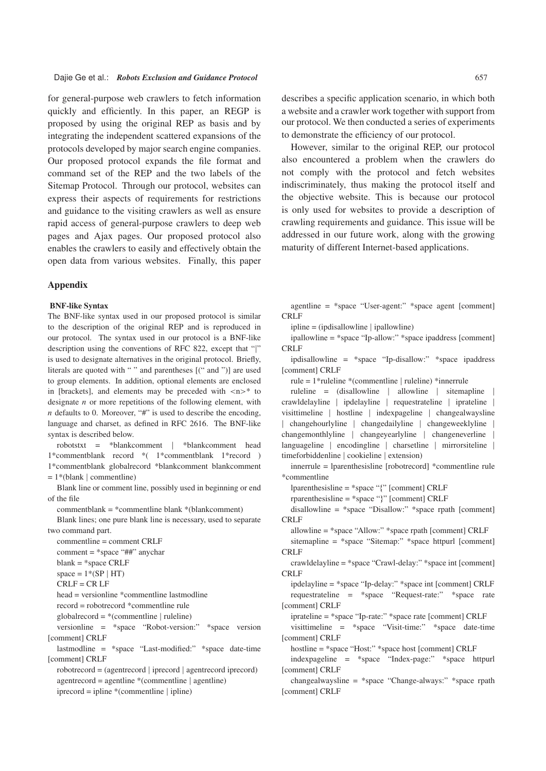for general-purpose web crawlers to fetch information quickly and efficiently. In this paper, an REGP is proposed by using the original REP as basis and by integrating the independent scattered expansions of the protocols developed by major search engine companies. Our proposed protocol expands the file format and command set of the REP and the two labels of the Sitemap Protocol. Through our protocol, websites can express their aspects of requirements for restrictions and guidance to the visiting crawlers as well as ensure rapid access of general-purpose crawlers to deep web pages and Ajax pages. Our proposed protocol also enables the crawlers to easily and effectively obtain the open data from various websites. Finally, this paper

#### Appendix

#### BNF-like Syntax

The BNF-like syntax used in our proposed protocol is similar to the description of the original REP and is reproduced in our protocol. The syntax used in our protocol is a BNF-like description using the conventions of RFC 822, except that "j" is used to designate alternatives in the original protocol. Briefly, literals are quoted with " " and parentheses [(" and ")] are used to group elements. In addition, optional elements are enclosed in [brackets], and elements may be preceded with  $\langle n \rangle^*$  to designate  $n$  or more repetitions of the following element, with  $n$  defaults to 0. Moreover, "#" is used to describe the encoding, language and charset, as defined in RFC 2616. The BNF-like syntax is described below.

robotstxt = \*blankcomment j \*blankcomment head 1\*commentblank record \*( 1\*commentblank 1\*record ) 1\*commentblank globalrecord \*blankcomment blankcomment  $= 1*$ (blank | commentline)

Blank line or comment line, possibly used in beginning or end of the file

commentblank = \*commentline blank \*(blankcomment)

Blank lines; one pure blank line is necessary, used to separate two command part.

commentline = comment CRLF comment = \*space "##" anychar  $blank = *space$  CRLF  $space = 1*(SP | HT)$  $CRLF = CR LF$ head = versionline \*commentline lastmodline record = robotrecord \*commentline rule  $globalrecord = *(commentline | ruleline)$ versionline = \*space "Robot-version:" \*space version [comment] CRLF lastmodline = \*space "Last-modified:" \*space date-time [comment] CRLF robotrecord = (agentrecord j iprecord j agentrecord iprecord)  $agentrecord = agentline * (commentline | agentline)$ 

 $i$  iprecord = ipline  $*(*commentline* | *ipline*)$ 

describes a specific application scenario, in which both a website and a crawler work together with support from our protocol. We then conducted a series of experiments to demonstrate the efficiency of our protocol.

However, similar to the original REP, our protocol also encountered a problem when the crawlers do not comply with the protocol and fetch websites indiscriminately, thus making the protocol itself and the objective website. This is because our protocol is only used for websites to provide a description of crawling requirements and guidance. This issue will be addressed in our future work, along with the growing maturity of different Internet-based applications.

agentline =  $*$ space "User-agent:"  $*$ space agent [comment] CRLF

 $i$ ipline = ( $i$ pdisallowline |  $i$ pallowline)

ipallowline = \*space "Ip-allow:" \*space ipaddress [comment] CRLF

ipdisallowline = \*space "Ip-disallow:" \*space ipaddress [comment] CRLF

rule = 1\*ruleline \*(commentline j ruleline) \*innerrule

ruleline = (disallowline | allowline | sitemapline crawldelayline | ipdelayline | requestrateline | iprateline | visittimeline | hostline | indexpageline | changealwaysline j changehourlyline j changedailyline j changeweeklyline j changemonthlyline changeyearlyline changeneverline languageline | encodingline | charsetline | mirrorsiteline | timeforbiddenline | cookieline | extension)

innerrule = lparenthesisline [robotrecord] \*commentline rule \*commentline

lparenthesisline = \*space "f" [comment] CRLF

rparenthesisline =  $*$ space "}" [comment] CRLF

disallowline = \*space "Disallow:" \*space rpath [comment] CRLF

allowline = \*space "Allow:" \*space rpath [comment] CRLF

sitemapline = \*space "Sitemap:" \*space httpurl [comment] CRLF

crawldelayline = \*space "Crawl-delay:" \*space int [comment] CRLF

ipdelayline = \*space "Ip-delay:" \*space int [comment] CRLF requestrateline = \*space "Request-rate:" \*space rate [comment] CRLF

iprateline = \*space "Ip-rate:" \*space rate [comment] CRLF

visittimeline = \*space "Visit-time:" \*space date-time [comment] CRLF

hostline = \*space "Host:" \*space host [comment] CRLF

indexpageline = \*space "Index-page:" \*space httpurl [comment] CRLF

changealwaysline = \*space "Change-always:" \*space rpath [comment] CRLF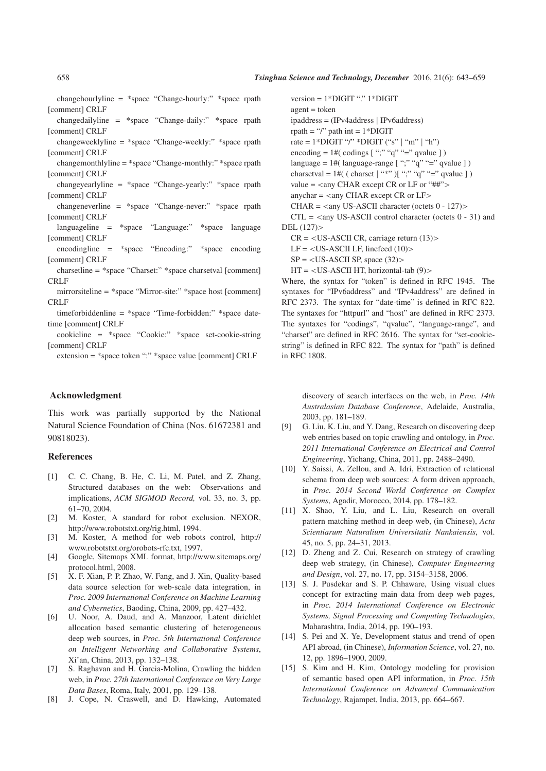changehourlyline = \*space "Change-hourly:" \*space rpath [comment] CRLF

changedailyline = \*space "Change-daily:" \*space rpath [comment] CRLF

changeweeklyline = \*space "Change-weekly:" \*space rpath [comment] CRLF

changemonthlyline = \*space "Change-monthly:" \*space rpath [comment] CRLF

changeyearlyline = \*space "Change-yearly:" \*space rpath [comment] CRLF

changeneverline = \*space "Change-never:" \*space rpath [comment] CRLF

languageline = \*space "Language:" \*space language [comment] CRLF

encodingline = \*space "Encoding:" \*space encoding [comment] CRLF

- charsetline = \*space "Charset:" \*space charsetval [comment] CRLF
- mirrorsiteline = \*space "Mirror-site:" \*space host [comment] CRLF

timeforbiddenline = \*space "Time-forbidden:" \*space datetime [comment] CRLF

cookieline = \*space "Cookie:" \*space set-cookie-string [comment] CRLF

extension = \*space token ":" \*space value [comment] CRLF

#### Acknowledgment

This work was partially supported by the National Natural Science Foundation of China (Nos. 61672381 and 90818023).

#### References

- [1] C. C. Chang, B. He, C. Li, M. Patel, and Z. Zhang, Structured databases on the web: Observations and implications, *ACM SIGMOD Record,* vol. 33, no. 3, pp. 61–70, 2004.
- [2] M. Koster, A standard for robot exclusion. NEXOR, http://www.robotstxt.org/rig.html, 1994.
- [3] M. Koster, A method for web robots control, http:// www.robotstxt.org/orobots-rfc.txt, 1997.
- [4] Google, Sitemaps XML format, http://www.sitemaps.org/ protocol.html, 2008.
- [5] X. F. Xian, P. P. Zhao, W. Fang, and J. Xin, Quality-based data source selection for web-scale data integration, in *Proc. 2009 International Conference on Machine Learning and Cybernetics*, Baoding, China, 2009, pp. 427–432.
- [6] U. Noor, A. Daud, and A. Manzoor, Latent dirichlet allocation based semantic clustering of heterogeneous deep web sources, in *Proc. 5th International Conference on Intelligent Networking and Collaborative Systems*, Xi'an, China, 2013, pp. 132–138.
- [7] S. Raghavan and H. Garcia-Molina, Crawling the hidden web, in *Proc. 27th International Conference on Very Large Data Bases*, Roma, Italy, 2001, pp. 129–138.
- [8] J. Cope, N. Craswell, and D. Hawking, Automated

version = 1\*DIGIT "." 1\*DIGIT

- $agent = token$
- ipaddress = (IPv4address j IPv6address)
- rpath = "/" path int =  $1*$ DIGIT

rate =  $1*DiffIT$  "/" \*DIGIT ("s" | "m" | "h")

encoding  $= 1$  #( codings  $[$  ";" "q" "=" qvalue  $]$ )

language =  $1$ #( language-range [ ";" "q" "=" qvalue ] )

charsetval =  $1\#$ ( ( charset  $\vert$  "\*")  $\vert$  ";" "q" "=" qvalue  $\vert$ )

value  $=$  <any CHAR except CR or LF or "##">

anychar  $=$  <any CHAR except CR or LF>

CHAR =  $\langle$ any US-ASCII character (octets 0 - 127) $>$ 

 $CTL = \langle$  any US-ASCII control character (octets 0 - 31) and DEL (127)>

 $CR = , carriage return (13)>$ 

 $LF =  LF, linefeed  $(10)$$ 

 $SP =  SP, space (32)>$ 

 $HT =  HT, horizontal-tab (9)>$ 

Where, the syntax for "token" is defined in RFC 1945. The syntaxes for "IPv6address" and "IPv4address" are defined in RFC 2373. The syntax for "date-time" is defined in RFC 822. The syntaxes for "httpurl" and "host" are defined in RFC 2373. The syntaxes for "codings", "qvalue", "language-range", and "charset" are defined in RFC 2616. The syntax for "set-cookiestring" is defined in RFC 822. The syntax for "path" is defined in RFC 1808.

discovery of search interfaces on the web, in *Proc. 14th Australasian Database Conference*, Adelaide, Australia, 2003, pp. 181–189.

- [9] G. Liu, K. Liu, and Y. Dang, Research on discovering deep web entries based on topic crawling and ontology, in *Proc. 2011 International Conference on Electrical and Control Engineering*, Yichang, China, 2011, pp. 2488–2490.
- [10] Y. Saissi, A. Zellou, and A. Idri, Extraction of relational schema from deep web sources: A form driven approach, in *Proc. 2014 Second World Conference on Complex Systems*, Agadir, Morocco, 2014, pp. 178–182.
- [11] X. Shao, Y. Liu, and L. Liu, Research on overall pattern matching method in deep web, (in Chinese), *Acta Scientiarum Naturalium Universitatis Nankaiensis*, vol. 45, no. 5, pp. 24–31, 2013.
- [12] D. Zheng and Z. Cui, Research on strategy of crawling deep web strategy, (in Chinese), *Computer Engineering and Design*, vol. 27, no. 17, pp. 3154–3158, 2006.
- [13] S. J. Pusdekar and S. P. Chhaware, Using visual clues concept for extracting main data from deep web pages, in *Proc. 2014 International Conference on Electronic Systems, Signal Processing and Computing Technologies*, Maharashtra, India, 2014, pp. 190–193.
- [14] S. Pei and X. Ye, Development status and trend of open API abroad, (in Chinese), *Information Science*, vol. 27, no. 12, pp. 1896–1900, 2009.
- [15] S. Kim and H. Kim, Ontology modeling for provision of semantic based open API information, in *Proc. 15th International Conference on Advanced Communication Technology*, Rajampet, India, 2013, pp. 664–667.